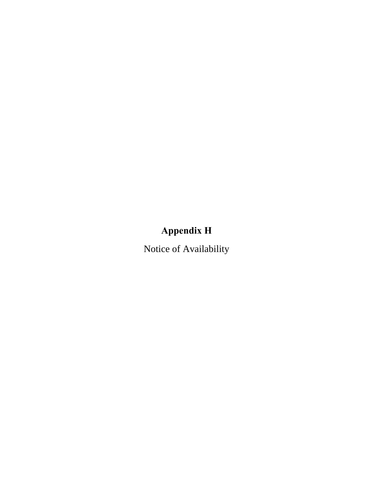# **Appendix H**

Notice of Availability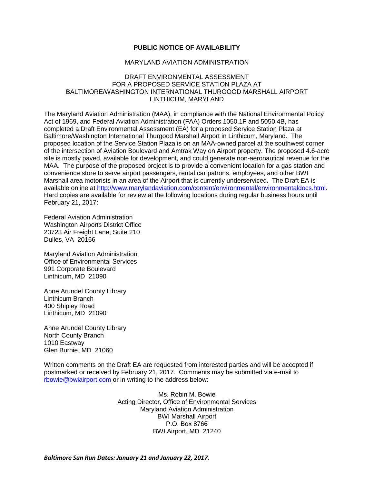#### **PUBLIC NOTICE OF AVAILABILITY**

#### MARYLAND AVIATION ADMINISTRATION

#### DRAFT ENVIRONMENTAL ASSESSMENT FOR A PROPOSED SERVICE STATION PLAZA AT BALTIMORE/WASHINGTON INTERNATIONAL THURGOOD MARSHALL AIRPORT LINTHICUM, MARYLAND

The Maryland Aviation Administration (MAA), in compliance with the National Environmental Policy Act of 1969, and Federal Aviation Administration (FAA) Orders 1050.1F and 5050.4B, has completed a Draft Environmental Assessment (EA) for a proposed Service Station Plaza at Baltimore/Washington International Thurgood Marshall Airport in Linthicum, Maryland. The proposed location of the Service Station Plaza is on an MAA-owned parcel at the southwest corner of the intersection of Aviation Boulevard and Amtrak Way on Airport property. The proposed 4.6-acre site is mostly paved, available for development, and could generate non-aeronautical revenue for the MAA. The purpose of the proposed project is to provide a convenient location for a gas station and convenience store to serve airport passengers, rental car patrons, employees, and other BWI Marshall area motorists in an area of the Airport that is currently underserviced. The Draft EA is available online at [http://www.marylandaviation.com/content/environmental/environmentaldocs.html.](http://www.marylandaviation.com/content/environmental/environmentaldocs.html) Hard copies are available for review at the following locations during regular business hours until February 21, 2017:

Federal Aviation Administration Washington Airports District Office 23723 Air Freight Lane, Suite 210 Dulles, VA 20166

Maryland Aviation Administration Office of Environmental Services 991 Corporate Boulevard Linthicum, MD 21090

Anne Arundel County Library Linthicum Branch 400 Shipley Road Linthicum, MD 21090

Anne Arundel County Library North County Branch 1010 Eastway Glen Burnie, MD 21060

Written comments on the Draft EA are requested from interested parties and will be accepted if postmarked or received by February 21, 2017. Comments may be submitted via e-mail to [rbowie@bwiairport.com](mailto:rbowie@bwiairport.com) or in writing to the address below:

> Ms. Robin M. Bowie Acting Director, Office of Environmental Services Maryland Aviation Administration BWI Marshall Airport P.O. Box 8766 BWI Airport, MD 21240

*Baltimore Sun Run Dates: January 21 and January 22, 2017.*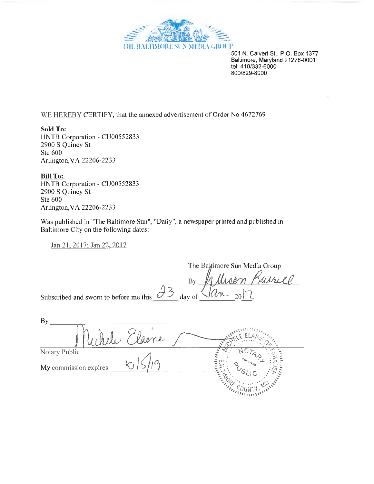

501 N. Calvert St., P.O. Box 1377 Baltimore, Maryland 21278-0001 tel: 410/332-6000 800/829-8000

WE HEREBY CERTIFY, that the annexed advertisement of Order No 4672769

Sold To: HNTB Corporation - CU00552833 2900 S Quincy St Ste 600 Arlington, VA 22206-2233

**Bill To:** HNTB Corporation - CU00552833 2900 S Quincy St Ste 600 Arlington, VA 22206-2233

Was published in "The Baltimore Sun", "Daily", a newspaper printed and published in Baltimore City on the following dates:

Jan 21, 2017; Jan 22, 2017

By Jane 2017 The Baltimore Sun Media Group Subscribed and sworn to before me this

| <b>By</b>             |      |               |
|-----------------------|------|---------------|
|                       | vame |               |
| Notary Public         |      |               |
| My commission expires |      |               |
|                       |      | $-1111111111$ |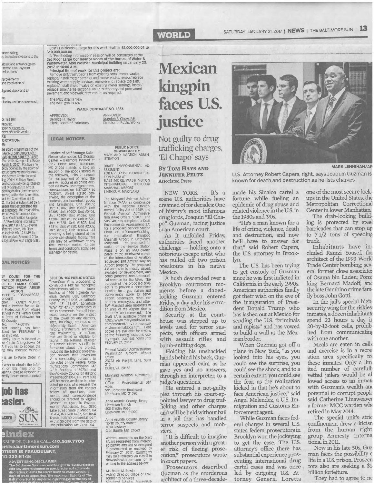# **WORLD**

SATURDAY, JANUARY 21. 2017 | NEWS | THE BALTIMORE SUN 13

select siding<br>n; limited renovations to the

**ill**ding and entrance gates<br>station HVAC system<br>relocations

nprovements<br>and installation of

I guard shack and an

I facility, and pressure wasi:

Q. 16310R PROVED tolph S. Cnow, P.E. ector of Public Works

#### RE ORTATION JG.

**IG**<br>
the Board of Essimates of the<br>
the Board of Essimates of the<br>
FAP NO. STP-000B(137)E:<br>
MIDTOWN STREETSCAPE/<br>
factor at DOCUMENT (NOTOR)<br>
direct Documents may be examined<br>
and copies may be examined<br>
and copies may be Signal is supported by<br> **Manufacture Stablished the August School Stablished the AU2602 Bituminous Concost Qualification Range for<br>
. A "Pre-Bidding Information"<br>
. A "Pre-Bidding Information"<br>
Manufacture Roam 7th Floor** merence Room, 7th Floor.<br>Therence Room, 7th Floor. I Mix Asphalt Pavement 0" to<br>ic Signal Pole with Single Mast

#### **GAL NOTICES**

LY COURT FOR THE<br>TATE OF DELAWARE<br>CE OF FAMILY COURT<br>ECTION FROM ABUSE **ENOW ABUSE**<br> **ACTION**<br>
SEPH G. ROSENBERGER,<br>
onder<br>
pher ondent)<br>bied a Petition for an Or-<br>hed a Petition for an Or-<br>of Protection From Abuse<br>st you in the Family Court<br>e State of Delaware for e State or Deraman<br>EX County,<br>No. 17-00192<br>Juied for FEBRUARY 9, The State Torm PEBROARY<br>Family Court is located at<br>The Circle Georgetown DE<br>7. If you fail to appear, the<br>ng may proceed without is an Ex-Parte Order in

wish to obtain the infor on on this filing prior to<br>paring, please respond to<br>arnily Court location noted



eindex

SSIFIEDS PLEASE CALL 410.539.7700 ertise.baltimoresun.com<br>RTISER IS FRAUDULENT,<br>10-332-6146

**ADVERTISING DISCLAIMER**<br>The Baltimore Sun reserves the

Cost Qualification Range for this work shall be \$5,000,000.01 to Cost Qualification: Range for this work shall be 55,000,000.01 t<br>  $\frac{1}{2}$  S10,000,000.00<br>
A "Pre-Bidding Information" session will be conclucted at the<br>
3rd Floor Large Conference Room of the Bureau of Water &<br>
Wastewat

2017 at 10:00 A.M.<br>Principal Item of work for this project are:<br>Remove dirt/trash/debris from existing small meter vaults,<br>replace/install meter settings and meter vaults, renew/replace replace/install interior setuits and interior data, constructed existing water supply services, remove and replace top slab, replace/install shutoff valve on existing meter settings, install/<br>replace small/large sectional navement and sidewalk restoration, as required

The MBE goal is 14%<br>The WBE goal is 6%

APPROVED:

WATER CONTRACT NO. 1356

APPROVED: Rudolph S. Chow, P.E.<br>Director of Public Works Bernice H. Taylor<br>Clerk, Board of Estimates

#### **LEGAL NOTICES**

Notice of Self Storage Sale<br>
Please take notice: US Storage Sale<br>
Please take notice: US Storage<br>
Center – Baltimore located at<br>
5117 Belair Road, Baltimore,<br>
MD 21206 intends to hold an<br>
autorion of the goods stored in<br> #1814; Unit #1850; Unit #2002;<br>Unit #2322; Unit #190024. All<br>property is being stored at the<br>above self-storage facility. This<br>sale may be withdrawn at any<br>terms and conditions apply. See<br>terms and conditions apply. See<br>ma

SECTION 106 PUBLIC NOTICE SECTION 106 PUBLIC NOTICE<br>TowerCom VI is proposing to<br>construct a 140' tall monopole<br>telecommunications tower<br>leaded at 1700 Ingleside Avenue, Gwynn Oak, Baltimore<br>County, MD, 21207, at Latitude<br>N39° 18' 11.49", Longitude<br> ested persons on the impact<br>of the tower on any districts, sites, buildings, structures, or<br>of the tower on any districts, sites, buildings, structures, or<br>abisotry, architecture, archaeology, engineering, or culture, list should be directed to Virginia<br>Janssen at Dynamic Environ-<br>mental Associates, Inc., 3850<br>Lake Street, Suite C, Macon, GA<br>31204, 877-968-4787, Sec106@<br>Within 30 days from the date of<br>this publication. Re: 21701004.

**PUBLIC NOTICE** OF AVAILABILITY<br>MARYLAND AVIATION ADMIN-<br>ISTRATION

DRAFT ENVIRONMENTAL AS-DRAFT ENVIRONMENTAL AS-<br>SESSMENT<br>FOR A PROPOSED SERVICE STA-<br>TION PLAZA AT BALTIMORE/WASHINGTON<br>INTERNATIONAL THURGOOD<br>MARSHALL AIRPORT

LINTHICUM, MARYLAND

Einvirticulum, meantrained Aviation Administrative<br>
The Maryland Aviation Administration (MAA), in compliance<br>
with the National Environmental Policy Act of 1969, and<br>
Federal Aviation Administration<br>
Federal Aviation Admi parcel at the southwest corner of Aviation of Aviation solutions and Author and Author and Author and Author and Author and Could generate non-aeronalities of the proposed projection can call revenue for the MAA. The purpo an area of the Airport that is currently underserviced. The<br>Draft EA is available online at bratt Le Is available interaction and the action of the proportion com/content/environmental/<br>com/content/environmental/<br>environmental/content/environmental/<br>copies are available for review<br>at the following locations durin

Federal Aviation Administration Washington Airports District Office 23723 Air Freight Lane, Suite

Dulles, VA 20166

Maryland Aviation Auministration<br>Office of Environmental Ser

vices 991 Corporate Boulevard<br>Linthicum, MD 21090

Anne Arundel County Library Linthicum Branch<br>400 Shipley Road<br>Linthicum, MD 21090

Anne Arundel County Library<br>North County Branch 1010 Eastway<br>Glen Burnie, MD 21060

Written comments on the Draft white comments on the practice RR are requested from interest-<br>ed parties and will be accepted<br>if postmarked or received by<br>repruary 21, 2017. Comments<br>may be submitted via e-mail to<br>towie@bwiairport.com or in<br>writing to t

Ms. Robin M. Bowle<br>Acting Director, Office of Envi-<br>ronmental Services<br>anandand Aviation Administra-

# **Mexican** kingpin faces U.S.

trafficking charges, 'El Chapo' says

#### **BY TOM HAYS AND JENNIFER PELTZ Associated Press**

NEW YORK - It's a scene U.S. authorities have dreamed of for decades: One of history's most infamous drug lords, Joaquin "El Chapo" Guzman, facing justice in an American court.

As it unfolded Friday, authorities faced another challenge - holding onto a notorious escape artist who has pulled off two prison breakouts in his native Mexico.

A hush descended over a Brooklyn courtroom moments before a dazedlooking Guzman entered Friday, a day after his extradition from Mexico.

Security at the courthouse was stepped up to levels used for terror suspects, with officers armed with assault rifles and bomb-sniffing dogs.

Holding his unshackled hands behind his back, Guzman appeared calm as he gave yes and no answers, through an interpreter, to a judge's questions.

He entered a not-guilty plea through his court-appointed lawyer to drug trafficking and other charges and will be held without bail in a jail that has handled terror suspects and mobsters.

"It is difficult to imagine another person with a greater risk of fleeing prosecution," prosecutors wrote in court papers.

Prosecutors described Guzman as the murderous architect of a three-decade-



U.S. Attorney Robert Capers, right, says Joaquin Guzman is known for death and destruction as he lists charges.

made his Sinaloa cartel a fortune while fueling an epidemic of drug abuse and related violence in the U.S. in the 1980s and '90s.

"He's a man known for a life of crime, violence, death and destruction, and now he'll have to answer for that," said Robert Capers, the U.S. attorney in Brook-

The U.S. has been trying to get custody of Guzman since he was first indicted in California in the early 1990s. American authorities finally got their wish on the eve of the inauguration of President Donald Trump, who has lashed out at Mexico for sending the U.S. "criminals and rapists" and has vowed to build a wall at the Mexican border.

When Guzman got off a plane in New York, "as you looked into his eyes, you could see the surprise, you could see the shock, and to a certain extent, you could see the fear, as the realization kicked in that he's about to face American justice," said<br>Angel Melendez, a U.S. Im-<br>migration and Customs Enforcement agent.

While Guzman faces federal charges in several U.S. states, federal prosecutors in Brooklyn won the jockeying to get the case. The U.S. attorney's office there has substantial experience prosecuting international drug cartel cases and was once led by outgoing U.S. Attorney General Loretta

one of the most secure lockups in the United States, the Metropolitan Correctional Center in lower Manhattan.

The drab-looking building is protected by steel<br>barricades that can stop up to 71/2 tons of speeding truck.

Inhabitants have included Ramzi Yousef, the architect of the 1993 World Trade Center bombing; several former close associates of Osama bin Laden; Ponz king Bernard Madoff; and the late Gambino crime family boss John Gotti.

In the jail's special highsecurity wing for the riskies inmates, a dozen inhabitant: spend 23 hours a day in 20-by-12-foot cells, prohib ited from communicating with one another.

Meals are eaten in cells and exercise is in a recre ation area specifically for these inmates. Only a lim ited number of carefully vetted jailers would be al lowed access to an inmat with Guzman's wealth and potential to corrupt people said Catherine Linaweaver a former MCC warden wh retired in May 2014.

The special unit's stric confinement drew criticisn from the human right group Amnesty Interna tional in 2011.

Now in his late 50s, Guz man faces the possibility o life in a U.S. prison. Prosecu tors also are seeking a \$1 billion forfeiture.

They had to agree to no

justice Not guilty to drug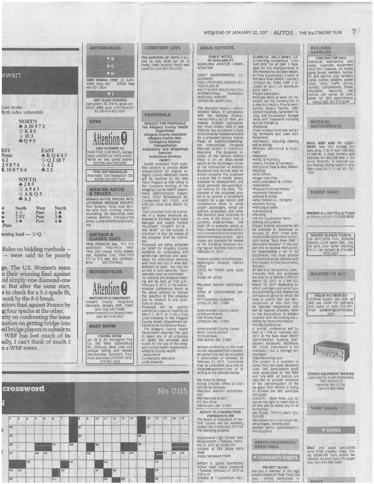#### $\overline{7}$ . WEEKEND OF JANUARY 22, 2017 | AUTOS | THE BALTIMORE SUN

#### **AUTOMOBILES** VB  $\blacktriangledown$  C VH ewart 2009 HONDA CIVIC LX. Auto-<br>matic, Gray, 4dr. \$7300 Neg matic, Gray, 4dr.<br>443-621-3524 2001 ISUZU TROOPER Dark green, 95, 198 mi, good condition. 4WD, auto, 410-746-6227<br>\$3, 100 410-902-7547 East dealer Both sides vulnerable **NORTH SUVs**  $*$ A10972  $\overline{0}$  10 3  $A$ Q95 2005 HUMMER H2<br>RARE FIND, LOW MILES, Garage<br>kept, LOADED w/ many extras.<br>White w/ two toned leather<br>\$29,900 443-250-0200 **EST EAST**  $\begin{array}{c}\n\bigcirc \\
\bigcirc \\
\bigcirc \\
\bigcirc \\
\bigcirc \\
42\n\end{array}$  107 **None** 62 J9876  $432$ K108764 **1998 JEEP WRANGLER** Auto **SOUTH**  $4J85$  $\begin{array}{c}\n\heartsuit A943 \\
\heartsuit A K Q 5\n\end{array}$ **WANTED AUTOS & TRUCKS**  $A \bar{J}$ **DONATE AUTOS, TRUCKS, RV'S LUTHERAN MISSION SOCIETY.**<br> **LUTHERAN MISSION SOCIETY.**<br>
Your donation helps local families with food, clothing, shelter,<br>
counseling. Tax deductible. MVA<br>
License #W1044. 410-636-0123<br>
www..LutheranMissionSociety. South West North Pass  $\frac{1}{3}$ 96  $2NT$ **IS** Pass  $4 \bullet$ **S**<br>Pass Pass org vening lead  $-\heartsuit$  Q **ANTIQUE &<br>CLASSIC CARS** 1950 PORSCHE 356 , 911, 912<br>
WANTED!!! 1950-1973; 1950-1965 356 Coupe, Conv, Speed-<br>
1965 356 Coupe, Conv, Speed-<br>
ster, Roadster, Cab.; 1964-1973<br>
911 or 912 wid. Any condition.<br>
\$n/a 203-770-9465 Rules on bidding methods ---- were said to be poorly ge. The U.S. Women's team **MOTORCYCLES** in their winning final against pid simply: one diamond-one se. But after the same start, Attention **e** s to check for a 5-3 spade fit, MOTORCYCLE SWAPMEET<br>Howard County Fairground,<br>Maryland. January 29th, 10am-<br>4pm. Buy, Sell, Trade.<br>Www.howardcountyswapmeet.com<br>301-478-3421 sunk by the 5-0 break. eniors final against France by ug four spades at the other. xity on confronting the issue ixation on getting bridge into **BOAT SHOW** ed bridge players to submit to WBF has lost much of its **FISHING SHOW** tally, I can't think of much I

n a WBF event.



**CEMETERY LOTS** 

THE GARDENS OF FAITH 2 lots,<br>side by side, \$500 per lot. In<br>lovely, clean location that's well-

cared for. Call 410-292-6155

|                         | <b>crossword</b> |    |    |    |     |                |    |                 |    |    |    |     |    |    |    |    |    |     | No. 0115            |               |
|-------------------------|------------------|----|----|----|-----|----------------|----|-----------------|----|----|----|-----|----|----|----|----|----|-----|---------------------|---------------|
|                         |                  |    |    |    |     |                |    |                 |    |    |    |     |    |    |    |    |    |     |                     |               |
| $\overline{\mathbf{1}}$ | $\overline{2}$   | 3  | 4  | 5  | 8   | $\overline{z}$ |    | 8               | 9  | 10 | 11 | 12  | 13 | 14 |    | 15 | 16 | 117 | 18                  | ${19}$        |
| $\frac{1}{20}$          |                  |    |    |    | N.  |                |    | $\overline{21}$ |    |    |    |     |    |    |    | 22 |    |     |                     | <b>MATILE</b> |
| $\frac{1}{23}$          |                  |    |    |    |     |                |    | $\overline{24}$ |    |    |    |     |    |    | 25 |    |    |     |                     |               |
| $\overline{26}$         |                  |    |    |    | 27  |                | 28 |                 |    | 29 |    |     |    |    | 30 |    |    |     |                     |               |
| 31                      |                  |    | 32 | 33 |     |                |    |                 | 34 |    |    |     | 35 | 36 |    |    | _  | 37  | 38                  | 39            |
|                         |                  | 40 |    |    |     |                | 41 |                 |    |    | 42 |     |    |    |    |    | 43 |     |                     |               |
| 44                      | 45               |    |    |    |     | 46             |    |                 |    | 47 |    | 4.8 |    |    |    |    | 49 |     | $\sim$              |               |
| $\overline{50}$         |                  |    |    |    | 151 |                |    |                 |    |    | 52 |     | 53 |    |    |    | 54 |     | $\scriptstyle\rm s$ |               |

|  |  |  |  | <b>LEGAL NOTICES</b> |
|--|--|--|--|----------------------|
|  |  |  |  |                      |
|  |  |  |  |                      |

**PUBLIC NOTICE** OF AVAILABILITY MARYLAND AVIATION ADMIN-STRATION

DRAFT ENVIRONMENTAL AS-DRAFI ENVIRONMENTAL<br>
ESSMENT<br>
FOR A PROPOSED SERVICE STA-<br>
TION PLAZA AT<br>
BALTIMORE/WASHINGTON<br>
INTERNATIONAL<br>
MARSHALL AIRPORT<br>
LINTHICUM, MARYLANO

The Maryland Aviation Administration (MAA), in compliance<br>with the National Environmental Policy Act of 1969, and<br>Federal Aviation Administration (FAA) Orders 1050.1F and<br>tion (FAA) Orders 1050.1F and<br>ES050.4B, has complet For a proposed Service Station<br>Plaza at Baltimore/Washing-<br>ton International Thurgood<br>Marshall Airport in Linthicum<br>Marshall The proposed location of the Service Station<br>Plaza is on an MAA-owned<br>of the intersection of Avia parcel at the southwest corner<br>parcel at the southwest corner<br>of the intersection of Avidton<br>Boulevard and Amtrak Way on<br>Arport property. The proposed<br> $4.6$ -acre site is mostly paved,<br> $2.4$ -acre site is mostly paved,<br>avai currently underserviced. The<br>Draft EA is available online at http://www.marylandaviation. rutur.//www.itiarylationsmental/<br>com/content/environmental/<br>environmental/ocs.html. Hard<br>copies are available for review<br>at the following locations during regular business hours until<br>February 21, 2017:

Federal Aviation Administration Washington Airports District 23723 Air Freight Lane, Suite

Dulles, VA 20166

vices

Maryland Aviation Administration<br>Office of Environmental Ser-

991 Corporate Soulevard<br>Linthicum, MD 21090

Anne Arundel County Library Linthicum Branch<br>400 Shipley Road<br>Linthicum, MD 21099

Anne Arundel County Library<br>North County Branch 1010 Eastway Glen Burnie, MD 21060

Written comments on the Draft EA are requested from interested parties and will be accepted<br>if postmarked or received by<br>February 21, 2017. Comments<br>may be submitted via e-mail to rhowie@bwiairport.com or<br>writing to the address below

Ms. Robin M. Bowie<br>Acting Director, Office of Envi-<br>ronmental Services<br>Maryland Aviation Administra-

BWI Marshall Airport<br>P.O. Box 8766<br>BWI Airport, MD 21240

#### NOTICE TO CONTRACTORS

Invitations to Bid<br>The Board of Education of Har-<br>ford County will be receiving<br>sealed bids in February 2017 for the following projects Joppatowne High School Roof<br>Replacement - Tuesday, February 21, 2017 at 10:00 a.m.<br>Located at 555 Joppa Farm

Road Joppa, Maryland 21085

William S. James Elementary School Open Space Enclosure<br>- Tuesday, February 21, 2017 at<br>2:00 p.m.<br>Located at 1 Laurentum Park-

**CLARK/US - BACK RIVER, LLC** is soliciting competitive "Lump"<br>Sum Bids" for all GMP 2 Packages for the Improvements to the Headworks and Wet Weath er Flow Equalization project at<br>the Back River WWTP – Sanitary<br>Contract No. 918H. GMP 2 in-Elides all work not previously<br>bid in GMP 1.<br>Project Description Project Description<br>Principle Herns of work for this<br>project are the construction of<br>a new Grit Facility, Fine Screens<br>Facility, Blower Facility, Odor<br>Control Facilities, Generator Fa cility, and Equalization Storage<br>Tanks with tradework including<br>but not limited to ·Flectrical «Cast-in-place Concrete, includ-<br>ing formwork and steel reinforcement: Earthwork, including clearing and grubbing;<br>and grubbing;<br>•Process Mechanical & Equipment «Masonry<br>«HVAC & Plumbing<br>«Doors, Frames & Hardware Structural Steel & Misc Metals •Roofir •Rooting<br>•Stie Utilities<br>•Auger Cast Piles<br>•Instrumentation & Control<br>•Demolition<br>•Precast Concrete Planks · Hydraulic Elevators -Trydradic Elevators<br>
-Cranes & Hoists<br>
-Misc Division 4 – 10 Items<br>
-Asphalt Paving -<br>Fencing & Gates<br>•Landscaping<br>•Painting<br>•18 MG Equalization Tanks • 18 MG Equalization Tanks<br>
and Equalization Tanks<br>
Project bidding documents with<br>
be available to download on<br>
lanuary 23, 2017. Email todd.<br>
merquinmedarkconstruction.<br>
merquinmedarkconstruction<br>
pocument Request<sup>\*</sup> in a monitored email address with<br>this request for bid documents.<br>Bid Data<br>All bids shall be submitted elec-Foncally. Bids and proposals<br>are due on or before 2 PM EST<br>March 02, 2017 or 2 PM EST<br>March 23, 2017 depending on which package upon which you<br>which package upon which you<br>are submitting a bid. Bidders do<br>not have an option on which bid<br>date to submit their bid. Non-<br>responsive or late bids may<br>will be opened privately. Refer<br>to the l

to the Instructions to Bidders<br>supplied with the bidding documents for more information. Pre-Bid Conference A pre-bid conference will be<br>held at 1 PM on February 6th,<br>2017 at the Back River WWTP

Administration Building, 8201<br>Eastern Boulevard, Baltimore,<br>MD 21224. Attendance is not<br>mandato.y but is strongly encouraged.<br>State Revolving Loan

State revolution and a recipient of<br>funds from the State Revolving<br>Loan. DBE participation goals<br>have established as 18% MBE<br>and 16% WBE. All biddees are<br>required to provide exidence required to provide evidence<br>of the demonstration of the<br>six good faith efforts in trying<br>to achieve the DBE participa-

tion goals.<br>Clark/US – Back River, LLC re-<br>serves the right to reject any or<br>all bids and to waive any or all

Mi blus and to wave any of an<br>formalities.<br>PLOYER<br>PLOYER We request bids from small, disadvantaged, minority and<br>women owned subcontractors and suobliers.

**ANNOUNCEMENTS/ GREETINGS** 

## **T COMMUNITY EVENTS**

#### PROJECT TALENT

Are you a member of the high<br>school classes of 1960-1963? Did school participate your

**SUPPLIES CONTRACTOR SALE**<br>electrical, mechanical, civil;<br>tools, materials equipment; execution, intertials equipment;<br>tools, materials equipment;<br>gang boxes, welders, hydrau-<br>lic and electric pipe benders,<br>cable pullers, ladders, power-<br>tools, carts, traffic drums,<br>neutrino, compressors, hoose,<br>insulation, insulation, vacuums, reel<br>stands, call James for com-<br>plete list and appointment.<br>Jessup MD. 301 573 8339 reel

**BUILDING** 

**MUSICAL INSTRUMENTS** 

**BASS AMP AND PA EQUIPMENT** late 70's Ampeg SVT bass amp, 2 8x10 spkr cabinets, bass amp, 2 axio spart space space space space space calores space calores space calores space of the space of the fight case  $$500.00$ , 16 channel steep mixing board in anotal fight case  $$500.00$  call 301-732 1505

**TICKET MART** 

RAVENS Buy/Sell PSLs & Tickets at PSLSHorce.com 800-252-8055

RAVENS SEASON TICKETS<br>Six 2017-2018 FULL SEASON<br>Ravens CLUB seats (Sec. 226) 50 yard Line! Seller retaining<br>PSL's. Call Richard @ 410-580-9202 x221

**WANTED TO BUY** 

**FREON R12 WANTED** Certified buyers will pick up<br>and pay CASH for cylinders<br>and cases of cans. 312-291-<br>9169 seli@refrigerantfinders. com



STEREO EQUIPMENT WANTED<br>Cash Paid for Audio Electronics.<br>7907 Harford rd Parkville, MD 21234. Call 410-882-4360

**VARD SALES** 

**OTHER** 

BALT. polk audio spkrs.\$100<br>curio \$100 playboy mags. Dining table\$100 Sony sound bar<br>Yamaha reciever Sony CD player misc furn 410-889-0489

poos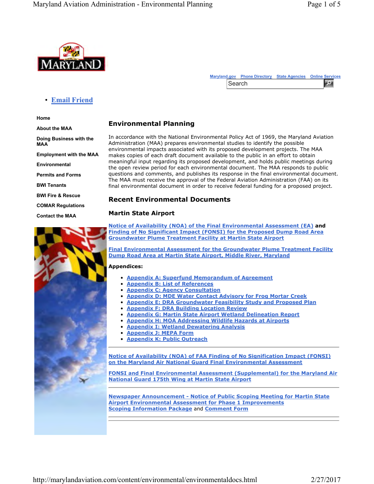

|        | Marvland.gov Phone Directory State Agencies Online Services |  |
|--------|-------------------------------------------------------------|--|
| Search |                                                             |  |

## • **Email Friend**

**Home**

**About the MAA**

**Doing Business with the MAA Employment with the MAA Environmental**

**Permits and Forms**

**BWI Tenants**

**BWI Fire & Rescue**

**COMAR Regulations**

**Contact the MAA**



# **Environmental Planning**

In accordance with the National Environmental Policy Act of 1969, the Maryland Aviation Administration (MAA) prepares environmental studies to identify the possible environmental impacts associated with its proposed development projects. The MAA makes copies of each draft document available to the public in an effort to obtain meaningful input regarding its proposed development, and holds public meetings during the open review period for each environmental document. The MAA responds to public questions and comments, and publishes its response in the final environmental document. The MAA must receive the approval of the Federal Aviation Administration (FAA) on its final environmental document in order to receive federal funding for a proposed project.

### **Recent Environmental Documents**

#### **Martin State Airport**

**Notice of Availability (NOA) of the Final Environmental Assessment (EA) and Finding of No Significant Impact (FONSI) for the Proposed Dump Road Area Groundwater Plume Treatment Facility at Martin State Airport**

**Final Environmental Assessment for the Groundwater Plume Treatment Facility Dump Road Area at Martin State Airport, Middle River, Maryland**

#### **Appendices:**

- **Appendix A: Superfund Memorandum of Agreement**
- **Appendix B: List of References**
- **Appendix C: Agency Consultation**
- **Appendix D: MDE Water Contact Advisory for Frog Mortar Creek**
- **Appendix E: DRA Groundwater Feasibility Study and Proposed Plan**
- **Appendix F: DRA Building Location Review**
- **Appendix G: Martin State Airport Wetland Delineation Report**
- **Appendix H: MOA Addressing Wildlife Hazards at Airports**
- **Appendix I: Wetland Dewatering Analysis**
- **Appendix J: MEPA Form**
- **Appendix K: Public Outreach**

**Notice of Availability (NOA) of FAA Finding of No Signification Impact (FONSI) on the Maryland Air National Guard Final Environmental Assessment**

**FONSI and Final Environmental Assessment (Supplemental) for the Maryland Air National Guard 175th Wing at Martin State Airport**

**Newspaper Announcement - Notice of Public Scoping Meeting for Martin State Airport Environmental Assessment for Phase 1 Improvements Scoping Information Package** and **Comment Form**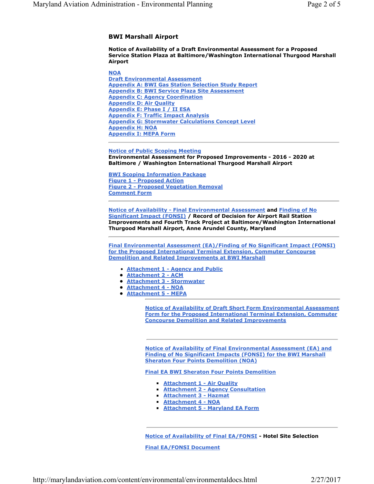#### **BWI Marshall Airport**

**Notice of Availability of a Draft Environmental Assessment for a Proposed Service Station Plaza at Baltimore/Washington International Thurgood Marshall Airport**

**NOA Draft Environmental Assessment Appendix A: BWI Gas Station Selection Study Report Appendix B: BWI Service Plaza Site Assessment Appendix C: Agency Coordination Appendix D: Air Quality Appendix E: Phase I / II ESA Appendix F: Traffic Impact Analysis Appendix G: Stormwater Calculations Concept Level Appendix H: NOA Appendix I: MEPA Form**

**Notice of Public Scoping Meeting Environmental Assessment for Proposed Improvements - 2016 - 2020 at Baltimore / Washington International Thurgood Marshall Airport**

**BWI Scoping Information Package Figure 1 - Proposed Action Figure 2 - Proposed Vegetation Removal Comment Form**

**Notice of Availability - Final Environmental Assessment and Finding of No Significant Impact (FONSI) / Record of Decision for Airport Rail Station Improvements and Fourth Track Project at Baltimore/Washington International Thurgood Marshall Airport, Anne Arundel County, Maryland**

**Final Environmental Assessment (EA)/Finding of No Significant Impact (FONSI) for the Proposed International Terminal Extension, Commuter Concourse Demolition and Related Improvements at BWI Marshall**

- **Attachment 1 Agency and Public**
- **• Attachment 2 ACM**
- **• Attachment 3 Stormwater**
- **• Attachment 4 NOA**
- **• Attachment 5 MEPA**

**Notice of Availability of Draft Short Form Environmental Assessment Form for the Proposed International Terminal Extension, Commuter Concourse Demolition and Related Improvements**

**Notice of Availability of Final Environmental Assessment (EA) and Finding of No Significant Impacts (FONSI) for the BWI Marshall Sheraton Four Points Demolition (NOA)**

**Final EA BWI Sheraton Four Points Demolition**

- **Attachment 1 Air Quality**
- ◾ **Attachment 2 Agency Consultation**
- **Attachment 3 Hazmat**
- ◾ **Attachment 4 NOA**
- **Attachment 5 Maryland EA Form**

**Notice of Availability of Final EA/FONSI - Hotel Site Selection Final EA/FONSI Document**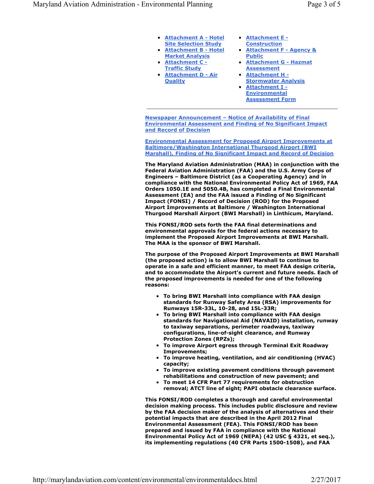- **Attachment A Hotel Site Selection Study**
- **Exercise Attachment B Hotel Market Analysis**
- **Attachment C -Traffic Study**
- ◾ **Attachment D Air Quality**
- ◾ **Attachment E Construction**
- Attachment F Agency & **Public**
- ◾ **Attachment G Hazmat Assessment**
- ◾ **Attachment H Stormwater Analysis** Attachment I -**Environmental Assessment Form**

**Newspaper Announcement – Notice of Availability of Final Environmental Assessment and Finding of No Significant Impact and Record of Decision**

**Environmental Assessment for Proposed Airport Improvements at Baltimore/Washington International Thurgood Airport (BWI Marshall), Finding of No Significant Impact and Record of Decision**

**The Maryland Aviation Administration (MAA) in conjunction with the Federal Aviation Administration (FAA) and the U.S. Army Corps of Engineers – Baltimore District (as a Cooperating Agency) and in compliance with the National Environmental Policy Act of 1969, FAA Orders 1050.1E and 5050.4B, has completed a Final Environmental Assessment (EA) and the FAA issued a Finding of No Significant Impact (FONSI) / Record of Decision (ROD) for the Proposed Airport Improvements at Baltimore / Washington International Thurgood Marshall Airport (BWI Marshall) in Linthicum, Maryland.** 

**This FONSI/ROD sets forth the FAA final determinations and environmental approvals for the federal actions necessary to implement the Proposed Airport Improvements at BWI Marshall. The MAA is the sponsor of BWI Marshall.**

**The purpose of the Proposed Airport Improvements at BWI Marshall (the proposed action) is to allow BWI Marshall to continue to operate in a safe and efficient manner, to meet FAA design criteria, and to accommodate the Airport's current and future needs. Each of the proposed improvements is needed for one of the following reasons:**

- ◾ **To bring BWI Marshall into compliance with FAA design standards for Runway Safety Area (RSA) improvements for Runways 15R-33L, 10-28, and 15L-33R;**
- ◾ **To bring BWI Marshall into compliance with FAA design standards for Navigational Aid (NAVAID) installation, runway to taxiway separations, perimeter roadways, taxiway configurations, line-of-sight clearance, and Runway Protection Zones (RPZs);**
- ◾ **To improve Airport egress through Terminal Exit Roadway Improvements;**
- **To improve heating, ventilation, and air conditioning (HVAC) capacity;**
- **To improve existing pavement conditions through pavement rehabilitations and construction of new pavement; and**
- ◾ **To meet 14 CFR Part 77 requirements for obstruction removal; ATCT line of sight; PAPI obstacle clearance surface.**

**This FONSI/ROD completes a thorough and careful environmental decision making process. This includes public disclosure and review by the FAA decision maker of the analysis of alternatives and their potential impacts that are described in the April 2012 Final Environmental Assessment (FEA). This FONSI/ROD has been prepared and issued by FAA in compliance with the National Environmental Policy Act of 1969 (NEPA) (42 USC § 4321, et seq.), its implementing regulations (40 CFR Parts 1500-1508), and FAA**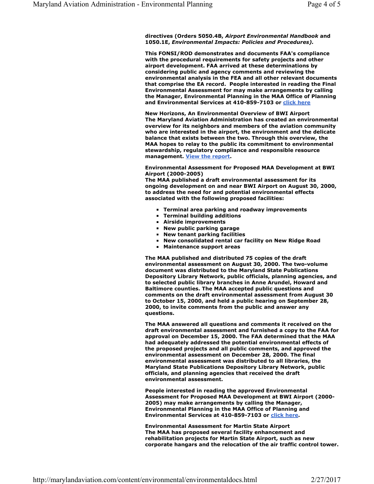**directives (Orders 5050.4B,** *Airport Environmental Handbook* **and 1050.1E,** *Environmental Impacts: Policies and Procedures).*

**This FONSI/ROD demonstrates and documents FAA's compliance with the procedural requirements for safety projects and other airport development. FAA arrived at these determinations by considering public and agency comments and reviewing the environmental analysis in the FEA and all other relevant documents that comprise the EA record. People interested in reading the Final Environmental Assessment for may make arrangements by calling the Manager, Environmental Planning in the MAA Office of Planning and Environmental Services at 410-859-7103 or click here**

**New Horizons, An Environmental Overview of BWI Airport The Maryland Aviation Administration has created an environmental overview for its neighbors and members of the aviation community who are interested in the airport, the environment and the delicate balance that exists between the two. Through this overview, the MAA hopes to relay to the public its commitment to environmental stewardship, regulatory compliance and responsible resource management. View the report.**

#### **Environmental Assessment for Proposed MAA Development at BWI Airport (2000-2005)**

**The MAA published a draft environmental assessment for its ongoing development on and near BWI Airport on August 30, 2000, to address the need for and potential environmental effects associated with the following proposed facilities:**

- ◾ **Terminal area parking and roadway improvements**
- **Terminal building additions**
- ◾ **Airside improvements**
- ◾ **New public parking garage**
- ◾ **New tenant parking facilities**
- ◾ **New consolidated rental car facility on New Ridge Road**
- ◾ **Maintenance support areas**

**The MAA published and distributed 75 copies of the draft environmental assessment on August 30, 2000. The two-volume document was distributed to the Maryland State Publications Depository Library Network, public officials, planning agencies, and to selected public library branches in Anne Arundel, Howard and Baltimore counties. The MAA accepted public questions and comments on the draft environmental assessment from August 30 to October 15, 2000, and held a public hearing on September 28, 2000, to invite comments from the public and answer any questions.**

**The MAA answered all questions and comments it received on the draft environmental assessment and furnished a copy to the FAA for approval on December 15, 2000. The FAA determined that the MAA had adequately addressed the potential environmental effects of the proposed projects and all public comments, and approved the environmental assessment on December 28, 2000. The final environmental assessment was distributed to all libraries, the Maryland State Publications Depository Library Network, public officials, and planning agencies that received the draft environmental assessment.**

**People interested in reading the approved Environmental Assessment for Proposed MAA Development at BWI Airport (2000- 2005) may make arrangements by calling the Manager, Environmental Planning in the MAA Office of Planning and Environmental Services at 410-859-7103 or click here.** 

**Environmental Assessment for Martin State Airport The MAA has proposed several facility enhancement and rehabilitation projects for Martin State Airport, such as new corporate hangars and the relocation of the air traffic control tower.**